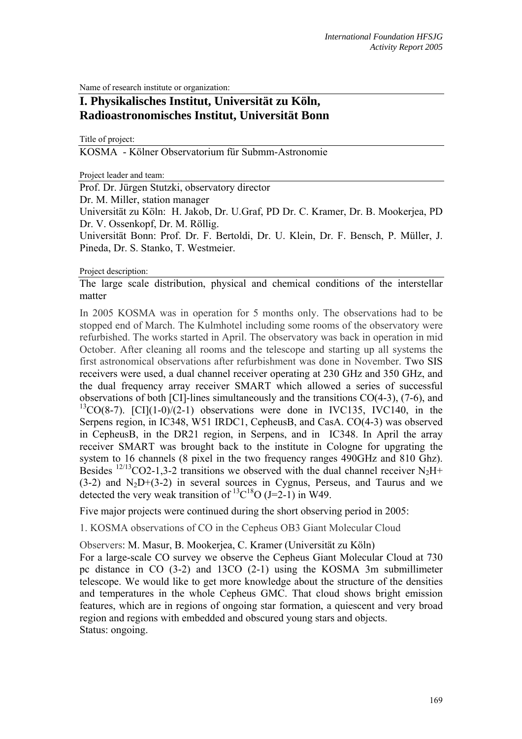Name of research institute or organization:

# **I. Physikalisches Institut, Universität zu Köln, Radioastronomisches Institut, Universität Bonn**

Title of project:

KOSMA - Kölner Observatorium für Submm-Astronomie

Project leader and team:

Prof. Dr. Jürgen Stutzki, observatory director

Dr. M. Miller, station manager

Universität zu Köln: H. Jakob, Dr. U.Graf, PD Dr. C. Kramer, Dr. B. Mookerjea, PD Dr. V. Ossenkopf, Dr. M. Röllig.

Universität Bonn: Prof. Dr. F. Bertoldi, Dr. U. Klein, Dr. F. Bensch, P. Müller, J. Pineda, Dr. S. Stanko, T. Westmeier.

#### Project description:

The large scale distribution, physical and chemical conditions of the interstellar matter

In 2005 KOSMA was in operation for 5 months only. The observations had to be stopped end of March. The Kulmhotel including some rooms of the observatory were refurbished. The works started in April. The observatory was back in operation in mid October. After cleaning all rooms and the telescope and starting up all systems the first astronomical observations after refurbishment was done in November. Two SIS receivers were used, a dual channel receiver operating at 230 GHz and 350 GHz, and the dual frequency array receiver SMART which allowed a series of successful observations of both [CI]-lines simultaneously and the transitions CO(4-3), (7-6), and  $13CO(8-7)$ . [CI](1-0)/(2-1) observations were done in IVC135, IVC140, in the Serpens region, in IC348, W51 IRDC1, CepheusB, and CasA. CO(4-3) was observed in CepheusB, in the DR21 region, in Serpens, and in IC348. In April the array receiver SMART was brought back to the institute in Cologne for upgrating the system to 16 channels (8 pixel in the two frequency ranges 490GHz and 810 Ghz). Besides <sup>12/13</sup>CO2-1,3-2 transitions we observed with the dual channel receiver N<sub>2</sub>H+  $(3-2)$  and  $N<sub>2</sub>D+(3-2)$  in several sources in Cygnus, Perseus, and Taurus and we detected the very weak transition of  ${}^{13}C^{18}O (J=2-1)$  in W49.

Five major projects were continued during the short observing period in 2005:

1. KOSMA observations of CO in the Cepheus OB3 Giant Molecular Cloud

Observers: M. Masur, B. Mookerjea, C. Kramer (Universität zu Köln)

For a large-scale CO survey we observe the Cepheus Giant Molecular Cloud at 730 pc distance in CO (3-2) and 13CO (2-1) using the KOSMA 3m submillimeter telescope. We would like to get more knowledge about the structure of the densities and temperatures in the whole Cepheus GMC. That cloud shows bright emission features, which are in regions of ongoing star formation, a quiescent and very broad region and regions with embedded and obscured young stars and objects. Status: ongoing.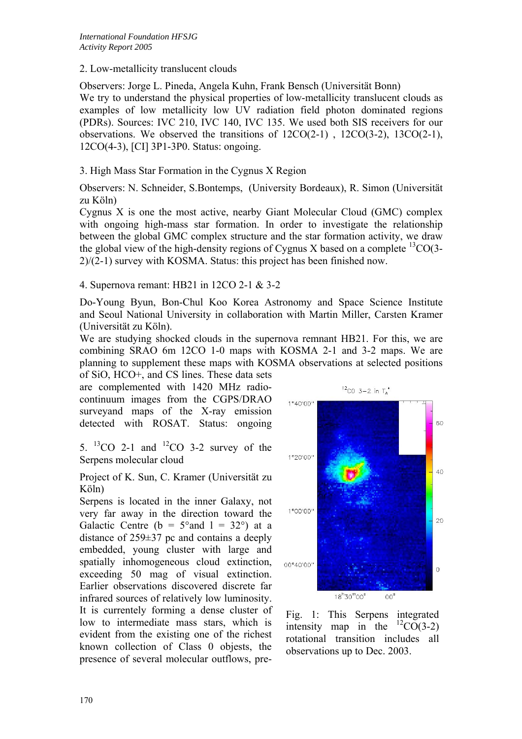2. Low-metallicity translucent clouds

Observers: Jorge L. Pineda, Angela Kuhn, Frank Bensch (Universität Bonn) We try to understand the physical properties of low-metallicity translucent clouds as examples of low metallicity low UV radiation field photon dominated regions (PDRs). Sources: IVC 210, IVC 140, IVC 135. We used both SIS receivers for our observations. We observed the transitions of 12CO(2-1) , 12CO(3-2), 13CO(2-1), 12CO(4-3), [CI] 3P1-3P0. Status: ongoing.

## 3. High Mass Star Formation in the Cygnus X Region

Observers: N. Schneider, S.Bontemps, (University Bordeaux), R. Simon (Universität zu Köln)

Cygnus X is one the most active, nearby Giant Molecular Cloud (GMC) complex with ongoing high-mass star formation. In order to investigate the relationship between the global GMC complex structure and the star formation activity, we draw the global view of the high-density regions of Cygnus X based on a complete  $^{13}CO(3-$ 2)/(2-1) survey with KOSMA. Status: this project has been finished now.

4. Supernova remant: HB21 in 12CO 2-1 & 3-2

Do-Young Byun, Bon-Chul Koo Korea Astronomy and Space Science Institute and Seoul National University in collaboration with Martin Miller, Carsten Kramer (Universität zu Köln).

We are studying shocked clouds in the supernova remnant HB21. For this, we are combining SRAO 6m 12CO 1-0 maps with KOSMA 2-1 and 3-2 maps. We are planning to supplement these maps with KOSMA observations at selected positions

of SiO, HCO+, and CS lines. These data sets are complemented with 1420 MHz radiocontinuum images from the CGPS/DRAO surveyand maps of the X-ray emission detected with ROSAT. Status: ongoing

5.  ${}^{13}CO$  2-1 and  ${}^{12}CO$  3-2 survey of the Serpens molecular cloud

Project of K. Sun, C. Kramer (Universität zu Köln)

Serpens is located in the inner Galaxy, not very far away in the direction toward the Galactic Centre ( $b = 5^{\circ}$ and  $1 = 32^{\circ}$ ) at a distance of 259±37 pc and contains a deeply embedded, young cluster with large and spatially inhomogeneous cloud extinction, exceeding 50 mag of visual extinction. Earlier observations discovered discrete far infrared sources of relatively low luminosity. It is currentely forming a dense cluster of low to intermediate mass stars, which is evident from the existing one of the richest known collection of Class 0 objests, the presence of several molecular outflows, pre-



Fig. 1: This Serpens integrated intensity map in the  $^{12}CO(3-2)$ rotational transition includes all observations up to Dec. 2003.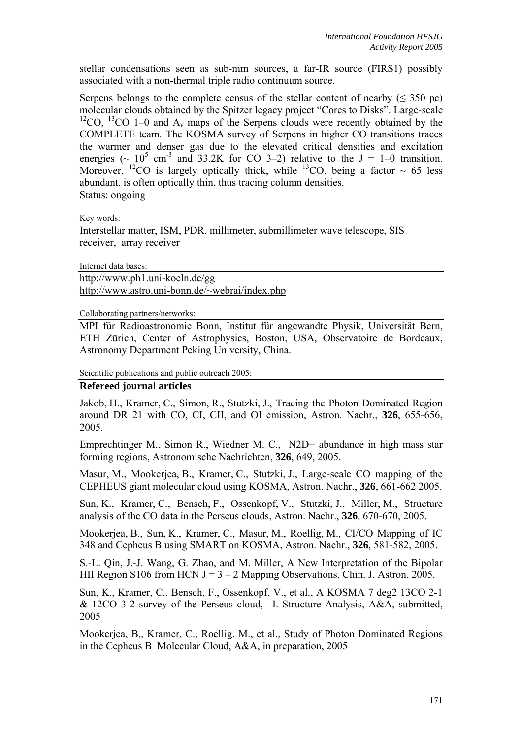stellar condensations seen as sub-mm sources, a far-IR source (FIRS1) possibly associated with a non-thermal triple radio continuum source.

Serpens belongs to the complete census of the stellar content of nearby ( $\leq$  350 pc) molecular clouds obtained by the Spitzer legacy project "Cores to Disks". Large-scale <sup>12</sup>CO, <sup>13</sup>CO 1–0 and  $A<sub>v</sub>$  maps of the Serpens clouds were recently obtained by the COMPLETE team. The KOSMA survey of Serpens in higher CO transitions traces the warmer and denser gas due to the elevated critical densities and excitation energies ( $\sim 10^5$  cm<sup>-3</sup> and 33.2K for CO 3–2) relative to the J = 1–0 transition. Moreover, <sup>12</sup>CO is largely optically thick, while <sup>13</sup>CO, being a factor  $\sim 65$  less abundant, is often optically thin, thus tracing column densities. Status: ongoing

Key words:

Interstellar matter, ISM, PDR, millimeter, submillimeter wave telescope, SIS receiver, array receiver

Internet data bases:

http://www.ph1.uni-koeln.de/gg http://www.astro.uni-bonn.de/~webrai/index.php

Collaborating partners/networks:

MPI für Radioastronomie Bonn, Institut für angewandte Physik, Universität Bern, ETH Zürich, Center of Astrophysics, Boston, USA, Observatoire de Bordeaux, Astronomy Department Peking University, China.

Scientific publications and public outreach 2005:

### **Refereed journal articles**

Jakob, H., Kramer, C., Simon, R., Stutzki, J., Tracing the Photon Dominated Region around DR 21 with CO, CI, CII, and OI emission, Astron. Nachr., **326**, 655-656, 2005.

Emprechtinger M., Simon R., Wiedner M. C., N2D+ abundance in high mass star forming regions, Astronomische Nachrichten, **326**, 649, 2005.

Masur, M., Mookerjea, B., Kramer, C., Stutzki, J., Large-scale CO mapping of the CEPHEUS giant molecular cloud using KOSMA, Astron. Nachr., **326**, 661-662 2005.

Sun, K., Kramer, C., Bensch, F., Ossenkopf, V., Stutzki, J., Miller, M., Structure analysis of the CO data in the Perseus clouds, Astron. Nachr., **326**, 670-670, 2005.

Mookerjea, B., Sun, K., Kramer, C., Masur, M., Roellig, M., CI/CO Mapping of IC 348 and Cepheus B using SMART on KOSMA, Astron. Nachr., **326**, 581-582, 2005.

S.-L. Qin, J.-J. Wang, G. Zhao, and M. Miller, A New Interpretation of the Bipolar HII Region S106 from HCN J =  $3 - 2$  Mapping Observations, Chin. J. Astron, 2005.

Sun, K., Kramer, C., Bensch, F., Ossenkopf, V., et al., A KOSMA 7 deg2 13CO 2-1 & 12CO 3-2 survey of the Perseus cloud, I. Structure Analysis, A&A, submitted, 2005

Mookerjea, B., Kramer, C., Roellig, M., et al., Study of Photon Dominated Regions in the Cepheus B Molecular Cloud, A&A, in preparation, 2005